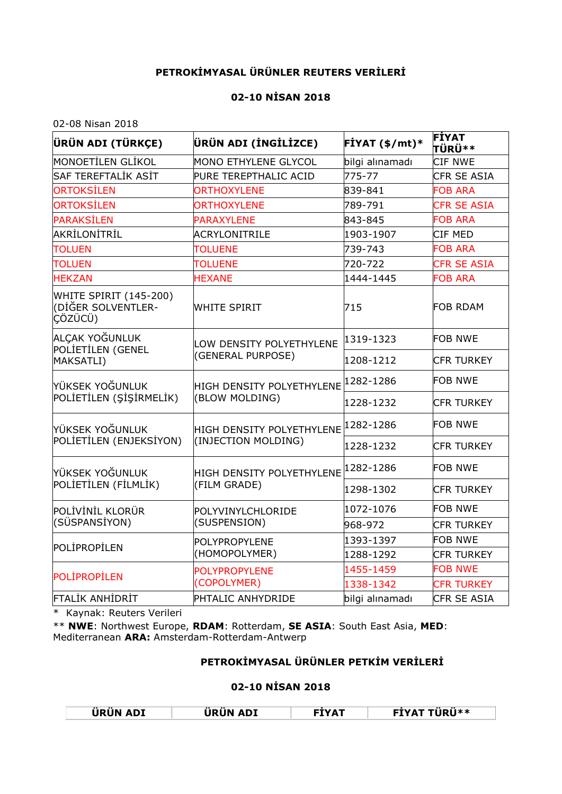## **PETROKİMYASAL ÜRÜNLER REUTERS VERİLERİ**

## **02-10 NİSAN 2018**

02-08 Nisan 2018

| ÜRÜN ADI (TÜRKÇE)                                       | ÜRÜN ADI (İNGİLİZCE)      | $FIYAT ($ \$/mt)* | <b>FİYAT</b><br><b>TÜRÜ**</b> |
|---------------------------------------------------------|---------------------------|-------------------|-------------------------------|
| <b>MONOETILEN GLIKOL</b>                                | MONO ETHYLENE GLYCOL      | bilgi alınamadı   | <b>CIF NWE</b>                |
| SAF TEREFTALİK ASİT                                     | PURE TEREPTHALIC ACID     | 775-77            | <b>CFR SE ASIA</b>            |
| <b>ORTOKSİLEN</b>                                       | <b>ORTHOXYLENE</b>        | 839-841           | <b>FOB ARA</b>                |
| <b>ORTOKSİLEN</b>                                       | <b>ORTHOXYLENE</b>        | 789-791           | <b>CFR SE ASIA</b>            |
| <b>PARAKSİLEN</b>                                       | <b>PARAXYLENE</b>         | 843-845           | <b>FOB ARA</b>                |
| AKRİLONİTRİL                                            | <b>ACRYLONITRILE</b>      | 1903-1907         | <b>CIF MED</b>                |
| <b>TOLUEN</b>                                           | <b>TOLUENE</b>            | 739-743           | <b>FOB ARA</b>                |
| <b>TOLUEN</b>                                           | <b>TOLUENE</b>            | 720-722           | <b>CFR SE ASIA</b>            |
| <b>HEKZAN</b>                                           | <b>HEXANE</b>             | 1444-1445         | <b>FOB ARA</b>                |
| WHITE SPIRIT (145-200)<br>(DİĞER SOLVENTLER-<br>CÖZÜCÜ) | <b>WHITE SPIRIT</b>       | 715               | <b>FOB RDAM</b>               |
| ALÇAK YOĞUNLUK<br>POLIETILEN (GENEL                     | LOW DENSITY POLYETHYLENE  | 1319-1323         | <b>FOB NWE</b>                |
| MAKSATLI)                                               | (GENERAL PURPOSE)         | 1208-1212         | <b>CFR TURKEY</b>             |
| YÜKSEK YOĞUNLUK                                         | HIGH DENSITY POLYETHYLENE | 1282-1286         | <b>FOB NWE</b>                |
| POLIETILEN (ŞİŞİRMELİK)                                 | (BLOW MOLDING)            | 1228-1232         | <b>CFR TURKEY</b>             |
| YÜKSEK YOĞUNLUK                                         | HIGH DENSITY POLYETHYLENE | 1282-1286         | <b>FOB NWE</b>                |
| POLIETILEN (ENJEKSIYON)                                 | (INJECTION MOLDING)       | 1228-1232         | <b>CFR TURKEY</b>             |
| YÜKSEK YOĞUNLUK                                         | HIGH DENSITY POLYETHYLENE | 1282-1286         | <b>FOB NWE</b>                |
| POLIETILEN (FILMLIK)                                    | (FILM GRADE)              | 1298-1302         | <b>CFR TURKEY</b>             |
| POLİVİNİL KLORÜR                                        | POLYVINYLCHLORIDE         | 1072-1076         | <b>FOB NWE</b>                |
| (SÜSPANSİYON)                                           | (SUSPENSION)              | 968-972           | <b>CFR TURKEY</b>             |
| POLIPROPILEN                                            | <b>POLYPROPYLENE</b>      | 1393-1397         | <b>FOB NWE</b>                |
|                                                         | (HOMOPOLYMER)             | 1288-1292         | <b>CFR TURKEY</b>             |
| <b>POLIPROPILEN</b>                                     | <b>POLYPROPYLENE</b>      | 1455-1459         | <b>FOB NWE</b>                |
|                                                         | (COPOLYMER)               | 1338-1342         | <b>CFR TURKEY</b>             |
| <b>FTALIK ANHIDRIT</b>                                  | <b>PHTALIC ANHYDRIDE</b>  | bilgi alınamadı   | CFR SE ASIA                   |

\* Kaynak: Reuters Verileri

\*\* **NWE**: Northwest Europe, **RDAM**: Rotterdam, **SE ASIA**: South East Asia, **MED**: Mediterranean **ARA:** Amsterdam-Rotterdam-Antwerp

## **PETROKİMYASAL ÜRÜNLER PETKİM VERİLERİ**

## **02-10 NİSAN 2018**

| .               | . .             | TYAT | $\cdots$ |
|-----------------|-----------------|------|----------|
| <b>ÜRÜN ADI</b> | <b>URUN ADI</b> |      | ™ÜRÜ**   |
|                 |                 |      |          |